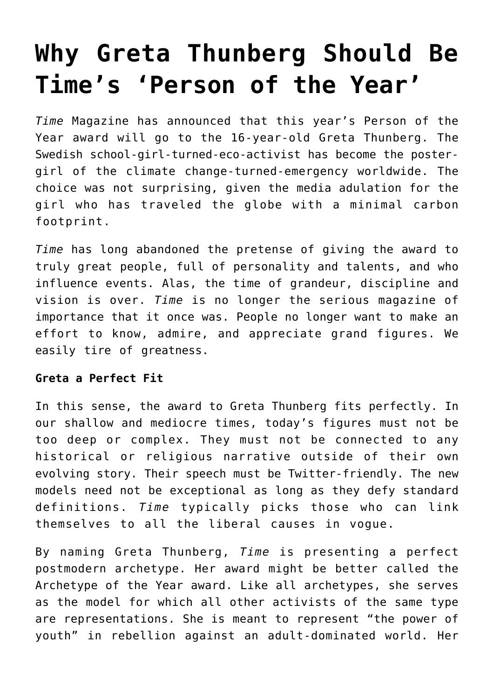# **[Why Greta Thunberg Should Be](https://intellectualtakeout.org/2019/12/why-greta-thunberg-should-be-times-person-of-the-year/) [Time's 'Person of the Year'](https://intellectualtakeout.org/2019/12/why-greta-thunberg-should-be-times-person-of-the-year/)**

*Time* Magazine has announced that this year's Person of the Year award will go to the 16-year-old Greta Thunberg. The Swedish school-girl-turned-eco-activist has become the postergirl of the climate change-turned-emergency worldwide. The choice was not surprising, given the media adulation for the girl who has traveled the globe with a minimal carbon footprint.

*Time* has long abandoned the pretense of giving the award to truly great people, full of personality and talents, and who influence events. Alas, the time of grandeur, discipline and vision is over. *Time* is no longer the serious magazine of importance that it once was. People no longer want to make an effort to know, admire, and appreciate grand figures. We easily tire of greatness.

## **Greta a Perfect Fit**

In this sense, the award to Greta Thunberg fits perfectly. In our shallow and mediocre times, today's figures must not be too deep or complex. They must not be connected to any historical or religious narrative outside of their own evolving story. Their speech must be Twitter-friendly. The new models need not be exceptional as long as they defy standard definitions. *Time* typically picks those who can link themselves to all the liberal causes in vogue.

By naming Greta Thunberg, *Time* is presenting a perfect postmodern archetype. Her award might be better called the Archetype of the Year award. Like all archetypes, she serves as the model for which all other activists of the same type are representations. She is meant to represent "the power of youth" in rebellion against an adult-dominated world. Her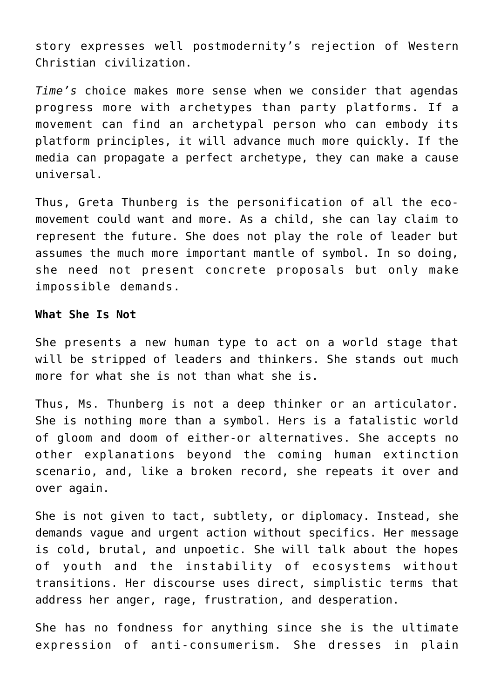story expresses well postmodernity's rejection of Western Christian civilization.

*Time's* choice makes more sense when we consider that agendas progress more with archetypes than party platforms. If a movement can find an archetypal person who can embody its platform principles, it will advance much more quickly. If the media can propagate a perfect archetype, they can make a cause universal.

Thus, Greta Thunberg is the personification of all the ecomovement could want and more. As a child, she can lay claim to represent the future. She does not play the role of leader but assumes the much more important mantle of symbol. In so doing, she need not present concrete proposals but only make impossible demands.

#### **What She Is Not**

She presents a new human type to act on a world stage that will be stripped of leaders and thinkers. She stands out much more for what she is not than what she is.

Thus, Ms. Thunberg is not a deep thinker or an articulator. She is nothing more than a symbol. Hers is a fatalistic world of gloom and doom of either-or alternatives. She accepts no other explanations beyond the coming human extinction scenario, and, like a broken record, she repeats it over and over again.

She is not given to tact, subtlety, or diplomacy. Instead, she demands vague and urgent action without specifics. Her message is cold, brutal, and unpoetic. She will talk about the hopes of youth and the instability of ecosystems without transitions. Her discourse uses direct, simplistic terms that address her anger, rage, frustration, and desperation.

She has no fondness for anything since she is the ultimate expression of anti-consumerism. She dresses in plain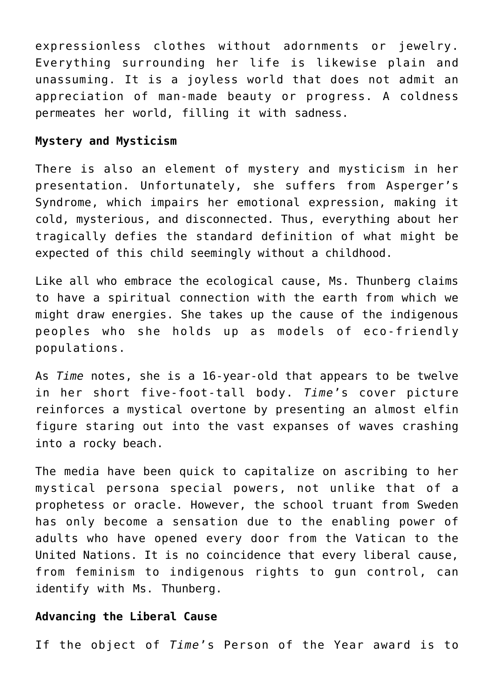expressionless clothes without adornments or jewelry. Everything surrounding her life is likewise plain and unassuming. It is a joyless world that does not admit an appreciation of man-made beauty or progress. A coldness permeates her world, filling it with sadness.

#### **Mystery and Mysticism**

There is also an element of mystery and mysticism in her presentation. Unfortunately, she suffers from Asperger's Syndrome, which impairs her emotional expression, making it cold, mysterious, and disconnected. Thus, everything about her tragically defies the standard definition of what might be expected of this child seemingly without a childhood.

Like all who embrace the ecological cause, Ms. Thunberg claims to have a spiritual connection with the earth from which we might draw energies. She takes up the cause of the indigenous peoples who she holds up as models of eco-friendly populations.

As *Time* notes, she is a 16-year-old that appears to be twelve in her short five-foot-tall body. *Time*'s cover picture reinforces a mystical overtone by presenting an almost elfin figure staring out into the vast expanses of waves crashing into a rocky beach.

The media have been quick to capitalize on ascribing to her mystical persona special powers, not unlike that of a prophetess or oracle. However, the school truant from Sweden has only become a sensation due to the enabling power of adults who have opened every door from the Vatican to the United Nations. It is no coincidence that every liberal cause, from feminism to indigenous rights to gun control, can identify with Ms. Thunberg.

### **Advancing the Liberal Cause**

If the object of *Time*'s Person of the Year award is to